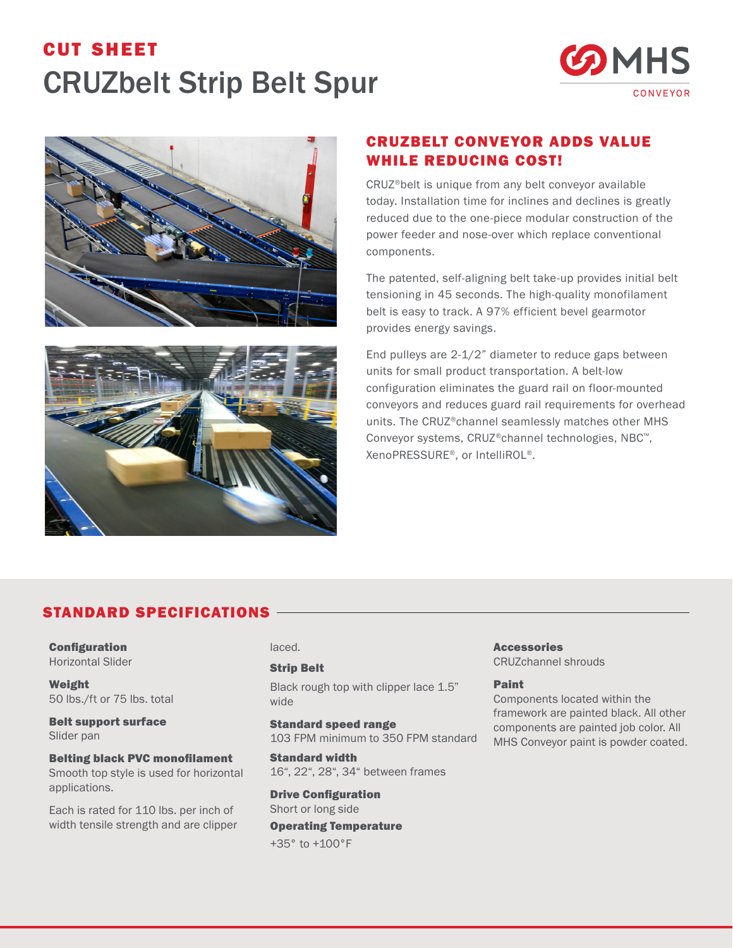## cut sheet CRUZbelt Strip Belt Spur







## CRUZBELT CONVEYOR ADDS VALUE WHILE REDUCING COST!

CRUZ®belt is unique from any belt conveyor available today. Installation time for inclines and declines is greatly reduced due to the one-piece modular construction of the power feeder and nose-over which replace conventional components.

The patented, self-aligning belt take-up provides initial belt tensioning in 45 seconds. The high-quality monofilament belt is easy to track. A 97% efficient bevel gearmotor provides energy savings.

End pulleys are 2-1/2" diameter to reduce gaps between units for small product transportation. A belt-low configuration eliminates the guard rail on floor-mounted conveyors and reduces guard rail requirements for overhead units. The CRUZ®channel seamlessly matches other MHS Conveyor systems, CRUZ®channel technologies, NBC™, XenoPRESSURE®, or IntelliROL®.

## STANDARD SPECIFICATIONS

Configuration Horizontal Slider

Weight 50 lbs./ft or 75 lbs. total

Belt support surface Slider pan

Belting black PVC monofilament Smooth top style is used for horizontal applications.

Each is rated for 110 lbs. per inch of width tensile strength and are clipper laced.

### Strip Belt

Black rough top with clipper lace 1.5" wide

Standard speed range 103 FPM minimum to 350 FPM standard

Standard width 16", 22", 28", 34" between frames

Drive Configuration Short or long side Operating Temperature +35° to +100°F

Accessories CRUZchannel shrouds

#### Paint

Components located within the framework are painted black. All other components are painted job color. All MHS Conveyor paint is powder coated.